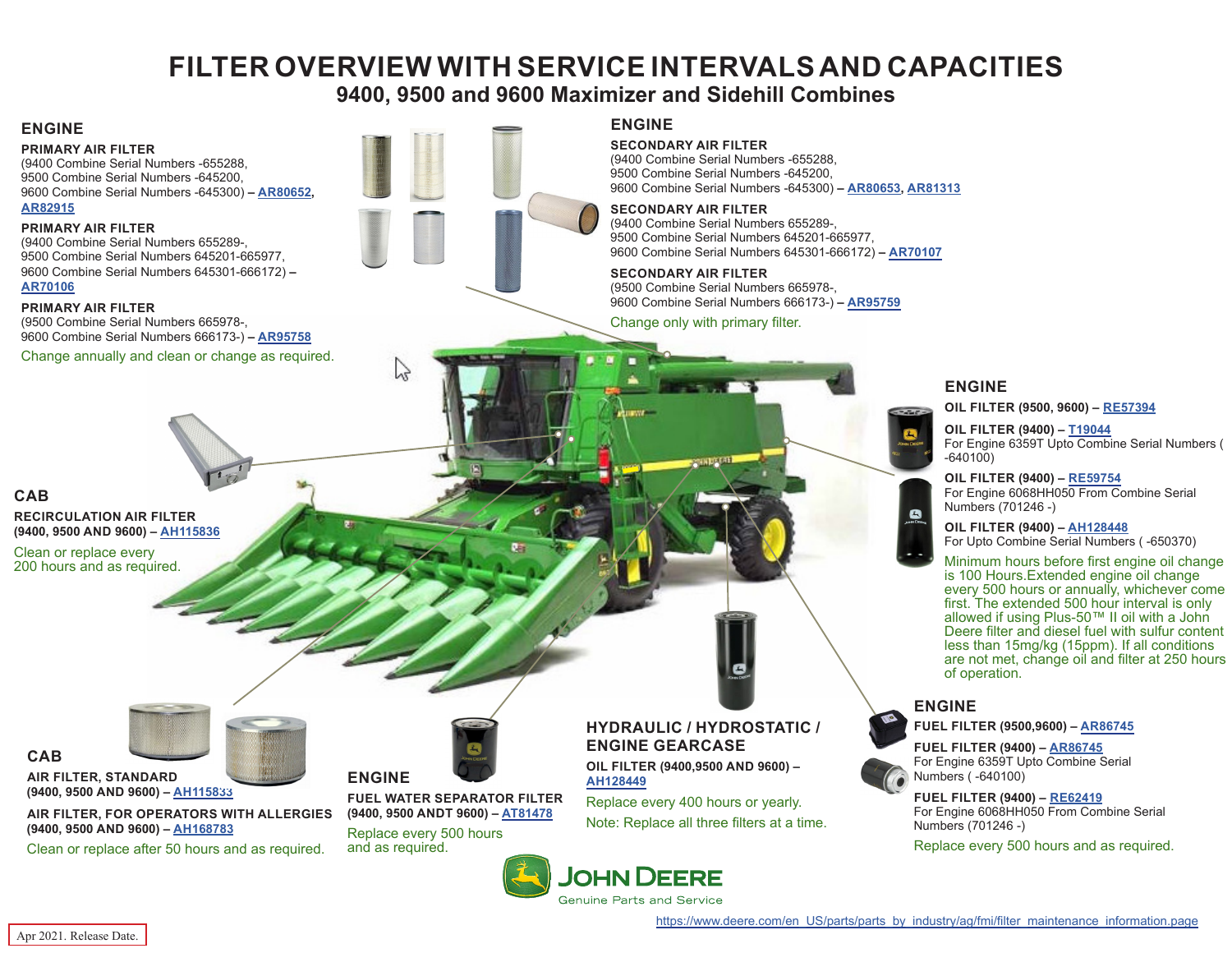# **FILTER OVERVIEW WITH SERVICE INTERVALS AND CAPACITIES**

# **9400, 9500 and 9600 Maximizer and Sidehill Combines**

## <span id="page-0-0"></span>**ENGINE**

**PRIMARY AIR FILTER** (9400 Combine Serial Numbers -655288, 9500 Combine Serial Numbers -645200, 9600 Combine Serial Numbers -645300) **– [AR80652](https://jdparts.deere.com/servlet/com.deere.u90.jdparts.view.servlets.partinfocontroller.PartDetails?screenName=JDSearch&&partSearchNumber=AR80652),** 

**[AR82915](https://jdparts.deere.com/servlet/com.deere.u90.jdparts.view.servlets.partinfocontroller.PartDetails?screenName=JDSearch&&partSearchNumber=AR82915)**

### **PRIMARY AIR FILTER**

(9400 Combine Serial Numbers 655289-, 9500 Combine Serial Numbers 645201-665977, 9600 Combine Serial Numbers 645301-666172) **– [AR70106](https://jdparts.deere.com/servlet/com.deere.u90.jdparts.view.servlets.partinfocontroller.PartDetails?screenName=JDSearch&&partSearchNumber=ar70106)**

### **PRIMARY AIR FILTER**

(9500 Combine Serial Numbers 665978-, 9600 Combine Serial Numbers 666173-) **– [AR95758](https://jdparts.deere.com/servlet/com.deere.u90.jdparts.view.servlets.partinfocontroller.PartDetails?screenName=JDSearch&&partSearchNumber=ar95758)**

Change annually and clean or change as required.



## **ENGINE**

**SECONDARY AIR FILTER**

(9400 Combine Serial Numbers -655288, 9500 Combine Serial Numbers -645200, 9600 Combine Serial Numbers -645300) **– [AR80653,](https://jdparts.deere.com/servlet/com.deere.u90.jdparts.view.servlets.partinfocontroller.PartDetails?screenName=JDSearch&&partSearchNumber=AR80653) [AR81313](https://jdparts.deere.com/servlet/com.deere.u90.jdparts.view.servlets.partinfocontroller.PartDetails?screenName=JDSearch&&partSearchNumber=AR81313)**

### **SECONDARY AIR FILTER**

(9400 Combine Serial Numbers 655289-, 9500 Combine Serial Numbers 645201-665977, 9600 Combine Serial Numbers 645301-666172) **– [AR70107](https://jdparts.deere.com/servlet/com.deere.u90.jdparts.view.servlets.partinfocontroller.PartDetails?screenName=JDSearch&&partSearchNumber=AR70107)**

**SECONDARY AIR FILTER** (9500 Combine Serial Numbers 665978-, 9600 Combine Serial Numbers 666173-) **– [AR95759](https://jdparts.deere.com/servlet/com.deere.u90.jdparts.view.servlets.partinfocontroller.PartDetails?screenName=JDSearch&&partSearchNumber=AR95759)**

Change only with primary filter.

## **ENGINE**

 $\mathbf{E}$ 

 $\bullet$ 

**OIL FILTER (9500, 9600) – [RE57394](https://jdparts.deere.com/servlet/com.deere.u90.jdparts.view.servlets.partinfocontroller.PartDetails?screenName=JDSearch&&partSearchNumber=RE57394)**

**OIL FILTER (9400) – [T19044](https://jdparts.deere.com/servlet/com.deere.u90.jdparts.view.servlets.partinfocontroller.PartDetails?screenName=JDSearch&&partSearchNumber=T19044)** For Engine 6359T Upto Combine Serial Numbers ( -640100)

### **OIL FILTER (9400) – [RE59754](https://jdparts.deere.com/servlet/com.deere.u90.jdparts.view.servlets.partinfocontroller.PartDetails?screenName=JDSearch&&partSearchNumber=re59754)**

For Engine 6068HH050 From Combine Serial Numbers (701246 -)

**OIL FILTER (9400) – [AH128448](https://jdparts.deere.com/servlet/com.deere.u90.jdparts.view.servlets.partinfocontroller.PartDetails?screenName=JDSearch&&partSearchNumber=AH128448)** For Upto Combine Serial Numbers ( -650370)

Minimum hours before first engine oil change is 100 Hours.Extended engine oil change every 500 hours or annually, whichever come first. The extended 500 hour interval is only allowed if using Plus-50™ II oil with a John Deere filter and diesel fuel with sulfur content less than 15mg/kg (15ppm). If all conditions are not met, change oil and filter at 250 hours of operation.



**FUEL FILTER (9500,9600) – [AR86745](https://jdparts.deere.com/servlet/com.deere.u90.jdparts.view.servlets.partinfocontroller.PartDetails?screenName=JDSearch&&partSearchNumber=ar86745)**

**FUEL FILTER (9400) – [AR86745](https://jdparts.deere.com/servlet/com.deere.u90.jdparts.view.servlets.partinfocontroller.PartDetails?screenName=JDSearch&&partSearchNumber=

AR86745)** For Engine 6359T Upto Combine Serial Numbers ( -640100)

## **FUEL FILTER (9400) – [RE62419](https://jdparts.deere.com/servlet/com.deere.u90.jdparts.view.servlets.partinfocontroller.PartDetails?screenName=JDSearch&&partSearchNumber=

RE62419)**

For Engine 6068HH050 From Combine Serial Numbers (701246 -)

Replace every 500 hours and as required.

**CAB RECIRCULATION AIR FILTER (9400, 9500 AND 9600) – [AH115836](https://jdparts.deere.com/servlet/com.deere.u90.jdparts.view.servlets.partinfocontroller.PartDetails?screenName=JDSearch&&partSearchNumber=ah115836)**

Clean or replace every 200 hours and as required.

### **AIR FILTER, STANDARD (9400, 9500 AND 9600) – [AH115833](https://jdparts.deere.com/servlet/com.deere.u90.jdparts.view.servlets.partinfocontroller.PartDetails?screenName=JDSearch&&partSearchNumber=ah115833)**

**AIR FILTER, FOR OPERATORS WITH ALLERGIES (9400, 9500 AND 9600) – [AH168783](https://jdparts.deere.com/servlet/com.deere.u90.jdparts.view.servlets.partinfocontroller.PartDetails?screenName=JDSearch&&partSearchNumber=

AH168783)**

<u>2000 - Jan Sarajara (</u>

Clean or replace after 50 hours and as required.



**ENGINE FUEL WATER SEPARATOR FILTER (9400, 9500 ANDT 9600) – [AT81478](https://jdparts.deere.com/servlet/com.deere.u90.jdparts.view.servlets.partinfocontroller.PartDetails?screenName=JDSearch&&partSearchNumber=at81478)**

Replace every 500 hours and as required.

## **HYDRAULIC / HYDROSTATIC / ENGINE GEARCASE**

**OIL FILTER (9400,9500 AND 9600) – [AH128449](https://jdparts.deere.com/servlet/com.deere.u90.jdparts.view.servlets.partinfocontroller.PartDetails?screenName=JDSearch&&partSearchNumber=ah128449)**

Replace every 400 hours or yearly. Note: Replace all three filters at a time.



**CAB**